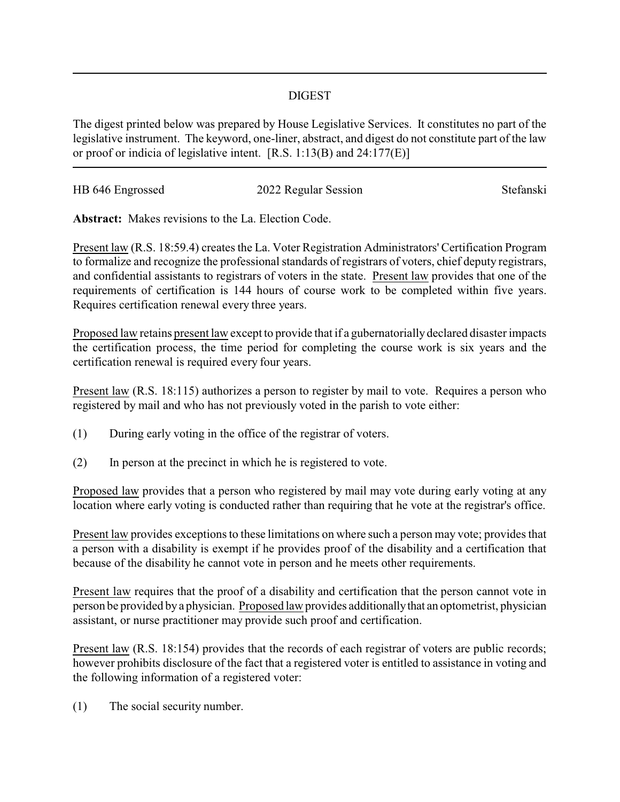## DIGEST

The digest printed below was prepared by House Legislative Services. It constitutes no part of the legislative instrument. The keyword, one-liner, abstract, and digest do not constitute part of the law or proof or indicia of legislative intent. [R.S. 1:13(B) and 24:177(E)]

| HB 646 Engrossed | 2022 Regular Session | Stefanski |
|------------------|----------------------|-----------|
|                  |                      |           |

**Abstract:** Makes revisions to the La. Election Code.

Present law (R.S. 18:59.4) creates the La. Voter Registration Administrators' Certification Program to formalize and recognize the professional standards of registrars of voters, chief deputy registrars, and confidential assistants to registrars of voters in the state. Present law provides that one of the requirements of certification is 144 hours of course work to be completed within five years. Requires certification renewal every three years.

Proposed law retains present law except to provide that if a gubernatorially declared disaster impacts the certification process, the time period for completing the course work is six years and the certification renewal is required every four years.

Present law (R.S. 18:115) authorizes a person to register by mail to vote. Requires a person who registered by mail and who has not previously voted in the parish to vote either:

- (1) During early voting in the office of the registrar of voters.
- (2) In person at the precinct in which he is registered to vote.

Proposed law provides that a person who registered by mail may vote during early voting at any location where early voting is conducted rather than requiring that he vote at the registrar's office.

Present law provides exceptions to these limitations on where such a person may vote; provides that a person with a disability is exempt if he provides proof of the disability and a certification that because of the disability he cannot vote in person and he meets other requirements.

Present law requires that the proof of a disability and certification that the person cannot vote in person be provided bya physician. Proposed law provides additionallythat an optometrist, physician assistant, or nurse practitioner may provide such proof and certification.

Present law (R.S. 18:154) provides that the records of each registrar of voters are public records; however prohibits disclosure of the fact that a registered voter is entitled to assistance in voting and the following information of a registered voter:

(1) The social security number.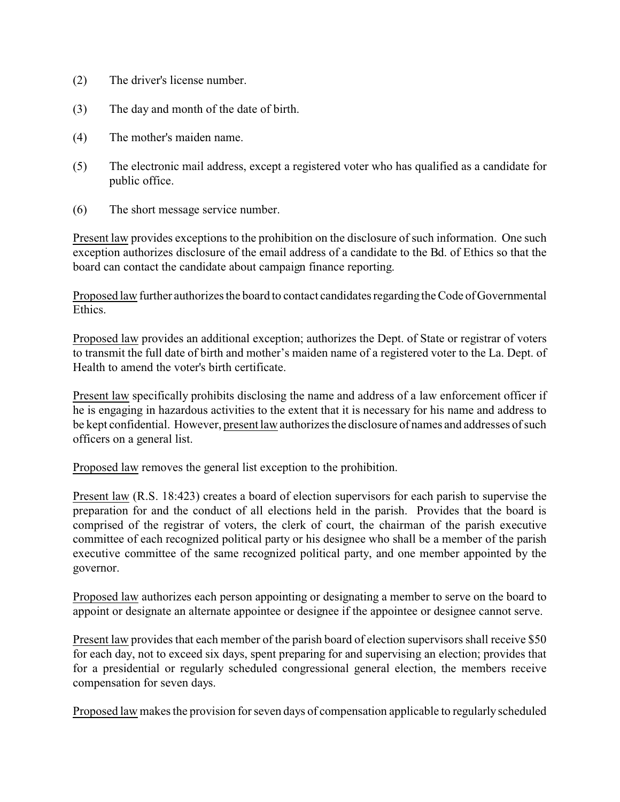- (2) The driver's license number.
- (3) The day and month of the date of birth.
- (4) The mother's maiden name.
- (5) The electronic mail address, except a registered voter who has qualified as a candidate for public office.
- (6) The short message service number.

Present law provides exceptions to the prohibition on the disclosure of such information. One such exception authorizes disclosure of the email address of a candidate to the Bd. of Ethics so that the board can contact the candidate about campaign finance reporting.

Proposed law further authorizes the board to contact candidates regarding the Code of Governmental Ethics.

Proposed law provides an additional exception; authorizes the Dept. of State or registrar of voters to transmit the full date of birth and mother's maiden name of a registered voter to the La. Dept. of Health to amend the voter's birth certificate.

Present law specifically prohibits disclosing the name and address of a law enforcement officer if he is engaging in hazardous activities to the extent that it is necessary for his name and address to be kept confidential. However, present law authorizes the disclosure of names and addresses of such officers on a general list.

Proposed law removes the general list exception to the prohibition.

Present law (R.S. 18:423) creates a board of election supervisors for each parish to supervise the preparation for and the conduct of all elections held in the parish. Provides that the board is comprised of the registrar of voters, the clerk of court, the chairman of the parish executive committee of each recognized political party or his designee who shall be a member of the parish executive committee of the same recognized political party, and one member appointed by the governor.

Proposed law authorizes each person appointing or designating a member to serve on the board to appoint or designate an alternate appointee or designee if the appointee or designee cannot serve.

Present law provides that each member of the parish board of election supervisors shall receive \$50 for each day, not to exceed six days, spent preparing for and supervising an election; provides that for a presidential or regularly scheduled congressional general election, the members receive compensation for seven days.

Proposed law makes the provision for seven days of compensation applicable to regularly scheduled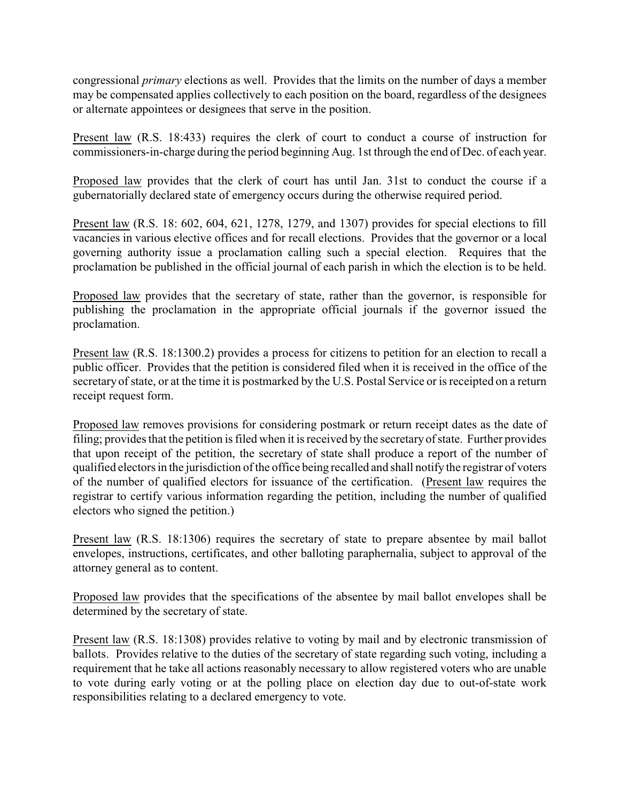congressional *primary* elections as well. Provides that the limits on the number of days a member may be compensated applies collectively to each position on the board, regardless of the designees or alternate appointees or designees that serve in the position.

Present law (R.S. 18:433) requires the clerk of court to conduct a course of instruction for commissioners-in-charge during the period beginning Aug. 1st through the end of Dec. of each year.

Proposed law provides that the clerk of court has until Jan. 31st to conduct the course if a gubernatorially declared state of emergency occurs during the otherwise required period.

Present law (R.S. 18: 602, 604, 621, 1278, 1279, and 1307) provides for special elections to fill vacancies in various elective offices and for recall elections. Provides that the governor or a local governing authority issue a proclamation calling such a special election. Requires that the proclamation be published in the official journal of each parish in which the election is to be held.

Proposed law provides that the secretary of state, rather than the governor, is responsible for publishing the proclamation in the appropriate official journals if the governor issued the proclamation.

Present law (R.S. 18:1300.2) provides a process for citizens to petition for an election to recall a public officer. Provides that the petition is considered filed when it is received in the office of the secretary of state, or at the time it is postmarked by the U.S. Postal Service or is receipted on a return receipt request form.

Proposed law removes provisions for considering postmark or return receipt dates as the date of filing; provides that the petition is filed when it is received by the secretaryof state. Further provides that upon receipt of the petition, the secretary of state shall produce a report of the number of qualified electors in the jurisdiction of the office being recalled and shall notify the registrar of voters of the number of qualified electors for issuance of the certification. (Present law requires the registrar to certify various information regarding the petition, including the number of qualified electors who signed the petition.)

Present law (R.S. 18:1306) requires the secretary of state to prepare absentee by mail ballot envelopes, instructions, certificates, and other balloting paraphernalia, subject to approval of the attorney general as to content.

Proposed law provides that the specifications of the absentee by mail ballot envelopes shall be determined by the secretary of state.

Present law (R.S. 18:1308) provides relative to voting by mail and by electronic transmission of ballots. Provides relative to the duties of the secretary of state regarding such voting, including a requirement that he take all actions reasonably necessary to allow registered voters who are unable to vote during early voting or at the polling place on election day due to out-of-state work responsibilities relating to a declared emergency to vote.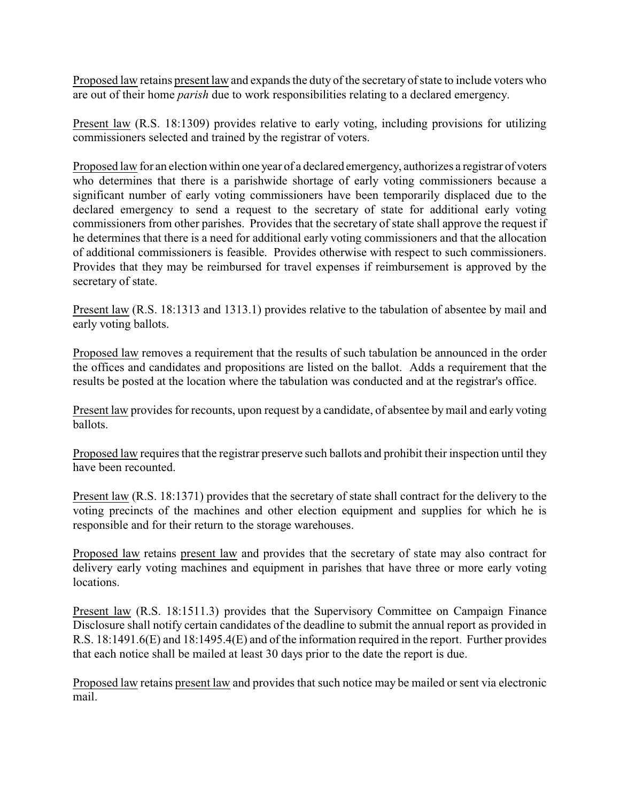Proposed law retains present law and expands the duty of the secretary of state to include voters who are out of their home *parish* due to work responsibilities relating to a declared emergency.

Present law (R.S. 18:1309) provides relative to early voting, including provisions for utilizing commissioners selected and trained by the registrar of voters.

Proposed law for an election within one year of a declared emergency, authorizes a registrar of voters who determines that there is a parishwide shortage of early voting commissioners because a significant number of early voting commissioners have been temporarily displaced due to the declared emergency to send a request to the secretary of state for additional early voting commissioners from other parishes. Provides that the secretary of state shall approve the request if he determines that there is a need for additional early voting commissioners and that the allocation of additional commissioners is feasible. Provides otherwise with respect to such commissioners. Provides that they may be reimbursed for travel expenses if reimbursement is approved by the secretary of state.

Present law (R.S. 18:1313 and 1313.1) provides relative to the tabulation of absentee by mail and early voting ballots.

Proposed law removes a requirement that the results of such tabulation be announced in the order the offices and candidates and propositions are listed on the ballot. Adds a requirement that the results be posted at the location where the tabulation was conducted and at the registrar's office.

Present law provides for recounts, upon request by a candidate, of absentee by mail and early voting ballots.

Proposed law requires that the registrar preserve such ballots and prohibit their inspection until they have been recounted.

Present law (R.S. 18:1371) provides that the secretary of state shall contract for the delivery to the voting precincts of the machines and other election equipment and supplies for which he is responsible and for their return to the storage warehouses.

Proposed law retains present law and provides that the secretary of state may also contract for delivery early voting machines and equipment in parishes that have three or more early voting locations.

Present law (R.S. 18:1511.3) provides that the Supervisory Committee on Campaign Finance Disclosure shall notify certain candidates of the deadline to submit the annual report as provided in R.S. 18:1491.6(E) and 18:1495.4(E) and of the information required in the report. Further provides that each notice shall be mailed at least 30 days prior to the date the report is due.

Proposed law retains present law and provides that such notice may be mailed or sent via electronic mail.